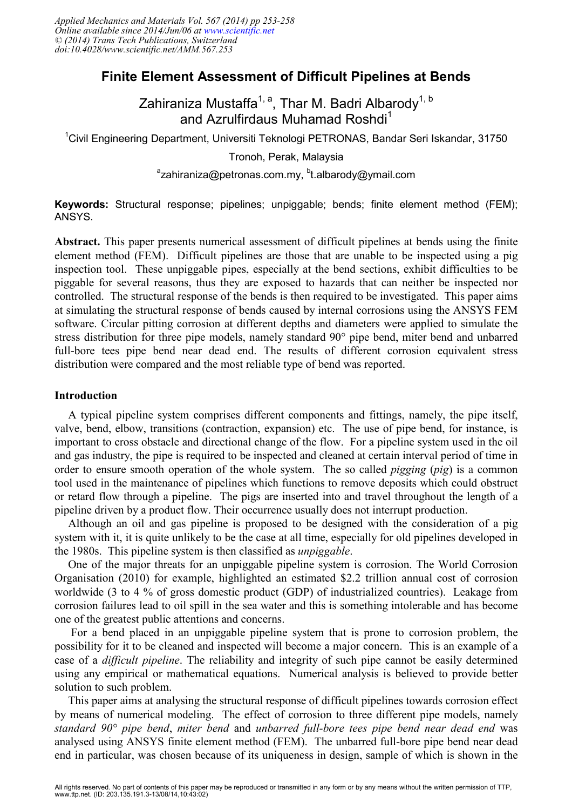# **Finite Element Assessment of Difficult Pipelines at Bends**

Zahiraniza Mustaffa<sup>1, a</sup>, Thar M. Badri Albarody<sup>1, b</sup> and Azrulfirdaus Muhamad Roshdi<sup>1</sup>

<sup>1</sup>Civil Engineering Department, Universiti Teknologi PETRONAS, Bandar Seri Iskandar, 31750

Tronoh, Perak, Malaysia

<sup>a</sup>zahiraniza@petronas.com.my, <sup>b</sup>t.albarody@ymail.com

**Keywords:** Structural response; pipelines; unpiggable; bends; finite element method (FEM); ANSYS.

**Abstract.** This paper presents numerical assessment of difficult pipelines at bends using the finite element method (FEM). Difficult pipelines are those that are unable to be inspected using a pig inspection tool. These unpiggable pipes, especially at the bend sections, exhibit difficulties to be piggable for several reasons, thus they are exposed to hazards that can neither be inspected nor controlled. The structural response of the bends is then required to be investigated. This paper aims at simulating the structural response of bends caused by internal corrosions using the ANSYS FEM software. Circular pitting corrosion at different depths and diameters were applied to simulate the stress distribution for three pipe models, namely standard 90° pipe bend, miter bend and unbarred full-bore tees pipe bend near dead end. The results of different corrosion equivalent stress distribution were compared and the most reliable type of bend was reported.

## **Introduction**

A typical pipeline system comprises different components and fittings, namely, the pipe itself, valve, bend, elbow, transitions (contraction, expansion) etc. The use of pipe bend, for instance, is important to cross obstacle and directional change of the flow. For a pipeline system used in the oil and gas industry, the pipe is required to be inspected and cleaned at certain interval period of time in order to ensure smooth operation of the whole system. The so called *pigging* (*pig*) is a common tool used in the maintenance of pipelines which functions to remove deposits which could obstruct or retard flow through a pipeline. The pigs are inserted into and travel throughout the length of a pipeline driven by a product flow. Their occurrence usually does not interrupt production.

Although an oil and gas pipeline is proposed to be designed with the consideration of a pig system with it, it is quite unlikely to be the case at all time, especially for old pipelines developed in the 1980s. This pipeline system is then classified as *unpiggable*.

One of the major threats for an unpiggable pipeline system is corrosion. The World Corrosion Organisation (2010) for example, highlighted an estimated \$2.2 trillion annual cost of corrosion worldwide (3 to 4 % of gross domestic product (GDP) of industrialized countries). Leakage from corrosion failures lead to oil spill in the sea water and this is something intolerable and has become one of the greatest public attentions and concerns.

 For a bend placed in an unpiggable pipeline system that is prone to corrosion problem, the possibility for it to be cleaned and inspected will become a major concern. This is an example of a case of a *difficult pipeline*. The reliability and integrity of such pipe cannot be easily determined using any empirical or mathematical equations. Numerical analysis is believed to provide better solution to such problem.

This paper aims at analysing the structural response of difficult pipelines towards corrosion effect by means of numerical modeling. The effect of corrosion to three different pipe models, namely *standard 90° pipe bend*, *miter bend* and *unbarred full-bore tees pipe bend near dead end* was analysed using ANSYS finite element method (FEM). The unbarred full-bore pipe bend near dead end in particular, was chosen because of its uniqueness in design, sample of which is shown in the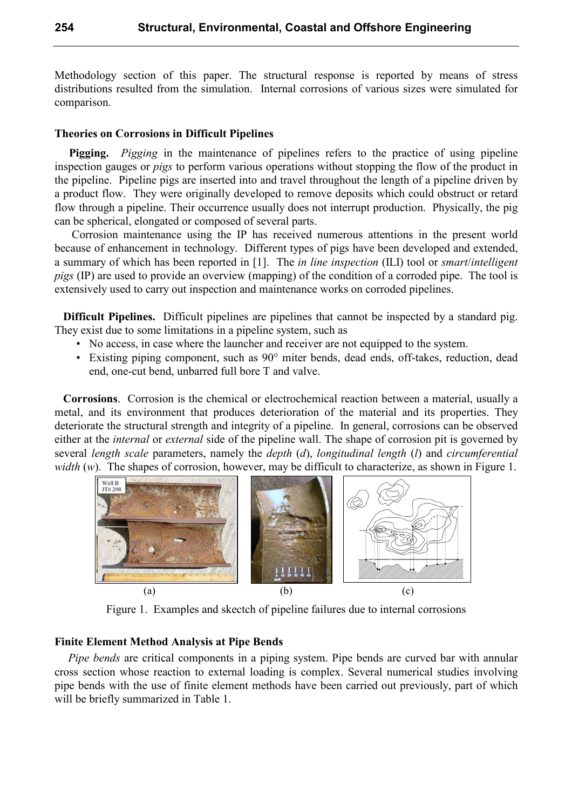Methodology section of this paper. The structural response is reported by means of stress distributions resulted from the simulation. Internal corrosions of various sizes were simulated for comparison.

### **Theories on Corrosions in Difficult Pipelines**

 **Pigging.** *Pigging* in the maintenance of pipelines refers to the practice of using pipeline inspection gauges or *pigs* to perform various operations without stopping the flow of the product in the pipeline. Pipeline pigs are inserted into and travel throughout the length of a pipeline driven by a product flow. They were originally developed to remove deposits which could obstruct or retard flow through a pipeline. Their occurrence usually does not interrupt production. Physically, the pig can be spherical, elongated or composed of several parts.

 Corrosion maintenance using the IP has received numerous attentions in the present world because of enhancement in technology. Different types of pigs have been developed and extended, a summary of which has been reported in [1]. The *in line inspection* (ILI) tool or *smart*/*intelligent pigs* (IP) are used to provide an overview (mapping) of the condition of a corroded pipe. The tool is extensively used to carry out inspection and maintenance works on corroded pipelines.

 **Difficult Pipelines.** Difficult pipelines are pipelines that cannot be inspected by a standard pig. They exist due to some limitations in a pipeline system, such as

- No access, in case where the launcher and receiver are not equipped to the system.
- Existing piping component, such as 90° miter bends, dead ends, off-takes, reduction, dead end, one-cut bend, unbarred full bore T and valve.

 **Corrosions**.Corrosion is the chemical or electrochemical reaction between a material, usually a metal, and its environment that produces deterioration of the material and its properties. They deteriorate the structural strength and integrity of a pipeline. In general, corrosions can be observed either at the *internal* or *external* side of the pipeline wall. The shape of corrosion pit is governed by several *length scale* parameters, namely the *depth* (*d*), *longitudinal length* (*l*) and *circumferential width* (*w*). The shapes of corrosion, however, may be difficult to characterize, as shown in Figure 1.



Figure 1. Examples and skectch of pipeline failures due to internal corrosions

### **Finite Element Method Analysis at Pipe Bends**

*Pipe bends* are critical components in a piping system. Pipe bends are curved bar with annular cross section whose reaction to external loading is complex. Several numerical studies involving pipe bends with the use of finite element methods have been carried out previously, part of which will be briefly summarized in Table 1.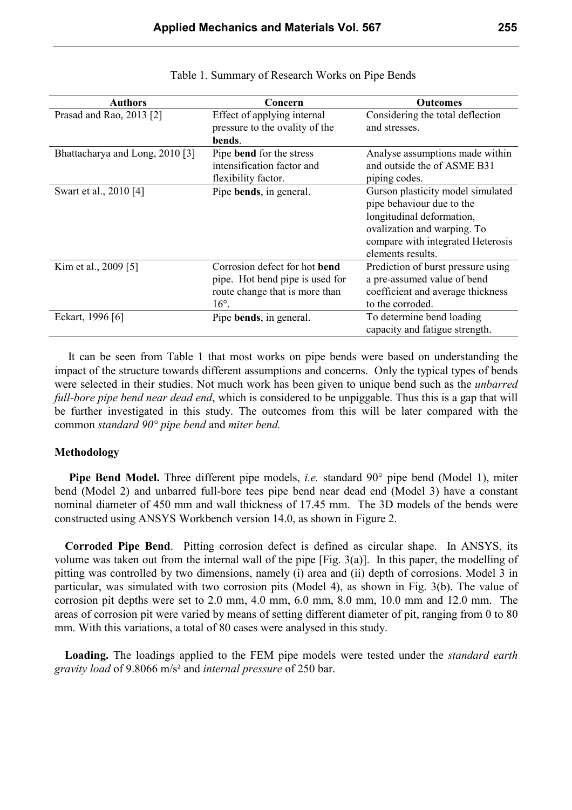| <b>Authors</b>                  | Concern                                                                                                                   | <b>Outcomes</b>                                                                                                                                                                      |
|---------------------------------|---------------------------------------------------------------------------------------------------------------------------|--------------------------------------------------------------------------------------------------------------------------------------------------------------------------------------|
| Prasad and Rao, 2013 [2]        | Effect of applying internal<br>pressure to the ovality of the<br>bends.                                                   | Considering the total deflection<br>and stresses.                                                                                                                                    |
| Bhattacharya and Long, 2010 [3] | Pipe bend for the stress<br>intensification factor and<br>flexibility factor.                                             | Analyse assumptions made within<br>and outside the of ASME B31<br>piping codes.                                                                                                      |
| Swart et al., 2010 [4]          | Pipe bends, in general.                                                                                                   | Gurson plasticity model simulated<br>pipe behaviour due to the<br>longitudinal deformation,<br>ovalization and warping. To<br>compare with integrated Heterosis<br>elements results. |
| Kim et al., 2009 [5]            | Corrosion defect for hot <b>bend</b><br>pipe. Hot bend pipe is used for<br>route change that is more than<br>$16^\circ$ . | Prediction of burst pressure using<br>a pre-assumed value of bend<br>coefficient and average thickness<br>to the corroded.                                                           |
| Eckart, 1996 [6]                | Pipe bends, in general.                                                                                                   | To determine bend loading<br>capacity and fatigue strength.                                                                                                                          |

| Table 1. Summary of Research Works on Pipe Bends |  |  |  |  |  |  |  |  |
|--------------------------------------------------|--|--|--|--|--|--|--|--|
|--------------------------------------------------|--|--|--|--|--|--|--|--|

It can be seen from Table 1 that most works on pipe bends were based on understanding the impact of the structure towards different assumptions and concerns. Only the typical types of bends were selected in their studies. Not much work has been given to unique bend such as the *unbarred full-bore pipe bend near dead end*, which is considered to be unpiggable. Thus this is a gap that will be further investigated in this study. The outcomes from this will be later compared with the common *standard 90° pipe bend* and *miter bend.*

### **Methodology**

 **Pipe Bend Model.** Three different pipe models, *i.e.* standard 90° pipe bend (Model 1), miter bend (Model 2) and unbarred full-bore tees pipe bend near dead end (Model 3) have a constant nominal diameter of 450 mm and wall thickness of 17.45 mm. The 3D models of the bends were constructed using ANSYS Workbench version 14.0, as shown in Figure 2.

**Corroded Pipe Bend**. Pitting corrosion defect is defined as circular shape. In ANSYS, its volume was taken out from the internal wall of the pipe [Fig. 3(a)]. In this paper, the modelling of pitting was controlled by two dimensions, namely (i) area and (ii) depth of corrosions. Model 3 in particular, was simulated with two corrosion pits (Model 4), as shown in Fig. 3(b). The value of corrosion pit depths were set to 2.0 mm, 4.0 mm, 6.0 mm, 8.0 mm, 10.0 mm and 12.0 mm. The areas of corrosion pit were varied by means of setting different diameter of pit, ranging from 0 to 80 mm. With this variations, a total of 80 cases were analysed in this study.

**Loading.** The loadings applied to the FEM pipe models were tested under the *standard earth gravity load* of 9.8066 m/s² and *internal pressure* of 250 bar.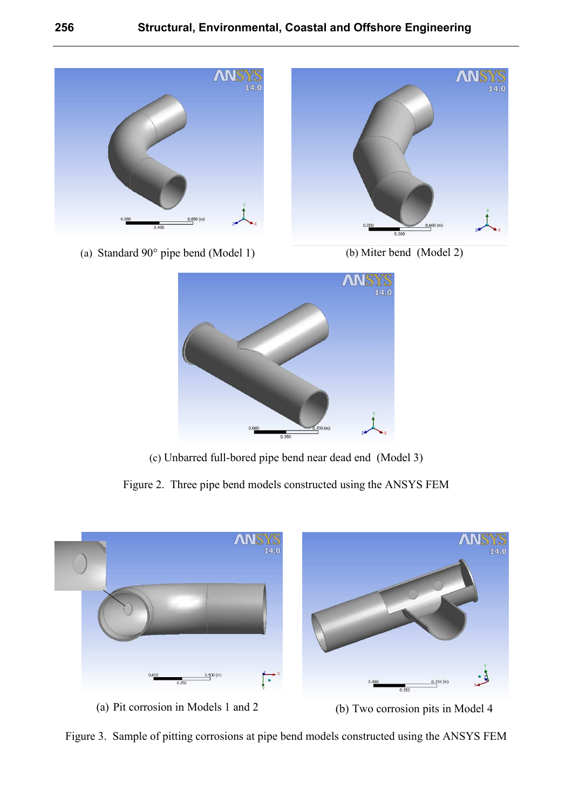

- (a) Standard 90° pipe bend (Model 1) (b) Miter bend (Model 2)
- 



(c) Unbarred full-bored pipe bend near dead end (Model 3)

Figure 2. Three pipe bend models constructed using the ANSYS FEM



(a) Pit corrosion in Models 1 and 2 (b) Two corrosion pits in Model 4

Figure 3. Sample of pitting corrosions at pipe bend models constructed using the ANSYS FEM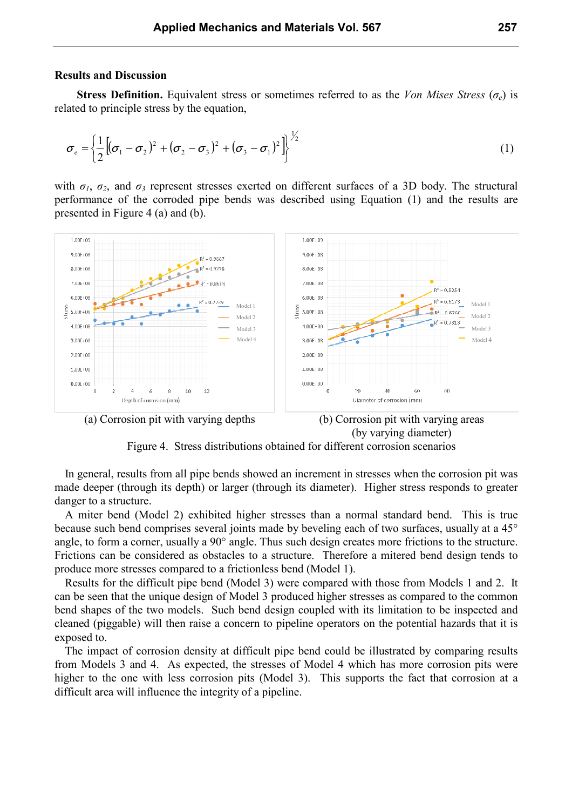#### **Results and Discussion**

**Stress Definition.** Equivalent stress or sometimes referred to as the *Von Mises Stress* ( $\sigma_e$ ) is related to principle stress by the equation,

$$
\sigma_e = \left\{ \frac{1}{2} \left[ (\sigma_1 - \sigma_2)^2 + (\sigma_2 - \sigma_3)^2 + (\sigma_3 - \sigma_1)^2 \right] \right\}^{\frac{1}{2}}
$$
(1)

with  $\sigma_1$ ,  $\sigma_2$ , and  $\sigma_3$  represent stresses exerted on different surfaces of a 3D body. The structural performance of the corroded pipe bends was described using Equation (1) and the results are presented in Figure 4 (a) and (b).



Figure 4. Stress distributions obtained for different corrosion scenarios

In general, results from all pipe bends showed an increment in stresses when the corrosion pit was made deeper (through its depth) or larger (through its diameter). Higher stress responds to greater danger to a structure.

A miter bend (Model 2) exhibited higher stresses than a normal standard bend. This is true because such bend comprises several joints made by beveling each of two surfaces, usually at a 45° angle, to form a corner, usually a 90° angle. Thus such design creates more frictions to the structure. Frictions can be considered as obstacles to a structure. Therefore a mitered bend design tends to produce more stresses compared to a frictionless bend (Model 1).

Results for the difficult pipe bend (Model 3) were compared with those from Models 1 and 2. It can be seen that the unique design of Model 3 produced higher stresses as compared to the common bend shapes of the two models. Such bend design coupled with its limitation to be inspected and cleaned (piggable) will then raise a concern to pipeline operators on the potential hazards that it is exposed to.

The impact of corrosion density at difficult pipe bend could be illustrated by comparing results from Models 3 and 4. As expected, the stresses of Model 4 which has more corrosion pits were higher to the one with less corrosion pits (Model 3). This supports the fact that corrosion at a difficult area will influence the integrity of a pipeline.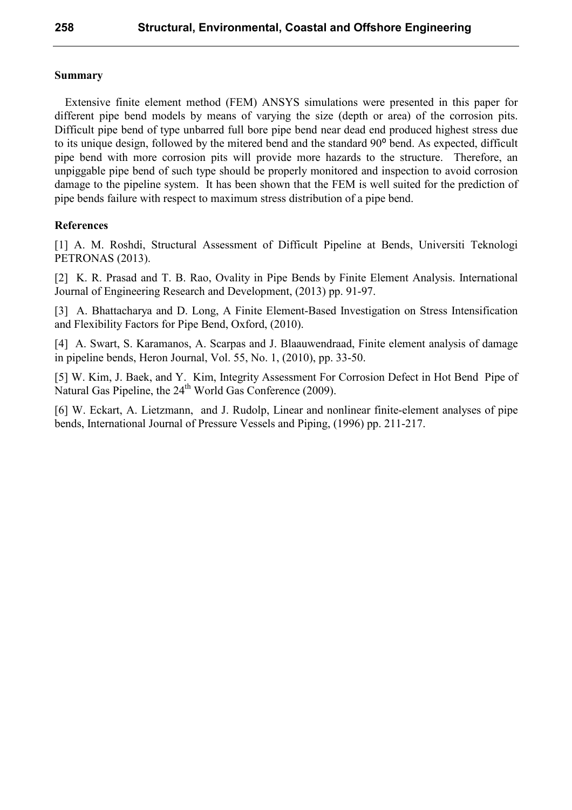# **Summary**

Extensive finite element method (FEM) ANSYS simulations were presented in this paper for different pipe bend models by means of varying the size (depth or area) of the corrosion pits. Difficult pipe bend of type unbarred full bore pipe bend near dead end produced highest stress due to its unique design, followed by the mitered bend and the standard 90<sup>°</sup> bend. As expected, difficult pipe bend with more corrosion pits will provide more hazards to the structure. Therefore, an unpiggable pipe bend of such type should be properly monitored and inspection to avoid corrosion damage to the pipeline system. It has been shown that the FEM is well suited for the prediction of pipe bends failure with respect to maximum stress distribution of a pipe bend.

# **References**

[1] A. M. Roshdi, Structural Assessment of Difficult Pipeline at Bends, Universiti Teknologi PETRONAS (2013).

[2] K. R. Prasad and T. B. Rao, Ovality in Pipe Bends by Finite Element Analysis. International Journal of Engineering Research and Development, (2013) pp. 91-97.

[3] A. Bhattacharya and D. Long, A Finite Element-Based Investigation on Stress Intensification and Flexibility Factors for Pipe Bend, Oxford, (2010).

[4] A. Swart, S. Karamanos, A. Scarpas and J. Blaauwendraad, Finite element analysis of damage in pipeline bends, Heron Journal, Vol. 55, No. 1, (2010), pp. 33-50.

[5] W. Kim, J. Baek, and Y. Kim, Integrity Assessment For Corrosion Defect in Hot Bend Pipe of Natural Gas Pipeline, the 24<sup>th</sup> World Gas Conference (2009).

[6] W. Eckart, A. Lietzmann, and J. Rudolp, Linear and nonlinear finite-element analyses of pipe bends, International Journal of Pressure Vessels and Piping, (1996) pp. 211-217.